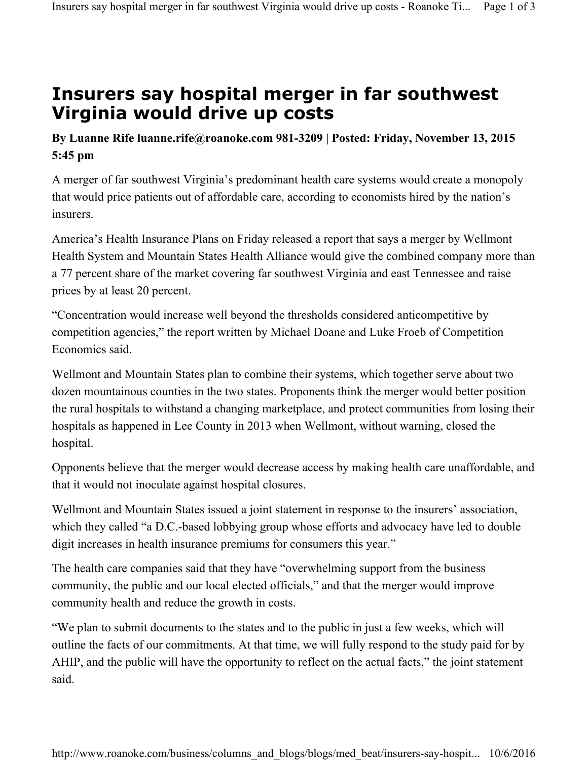## **Insurers say hospital merger in far southwest Virginia would drive up costs**

## **By Luanne Rife luanne.rife@roanoke.com 981-3209 | Posted: Friday, November 13, 2015 5:45 pm**

A merger of far southwest Virginia's predominant health care systems would create a monopoly that would price patients out of affordable care, according to economists hired by the nation's insurers.

America's Health Insurance Plans on Friday released a report that says a merger by Wellmont Health System and Mountain States Health Alliance would give the combined company more than a 77 percent share of the market covering far southwest Virginia and east Tennessee and raise prices by at least 20 percent.

"Concentration would increase well beyond the thresholds considered anticompetitive by competition agencies," the report written by Michael Doane and Luke Froeb of Competition Economics said.

Wellmont and Mountain States plan to combine their systems, which together serve about two dozen mountainous counties in the two states. Proponents think the merger would better position the rural hospitals to withstand a changing marketplace, and protect communities from losing their hospitals as happened in Lee County in 2013 when Wellmont, without warning, closed the hospital.

Opponents believe that the merger would decrease access by making health care unaffordable, and that it would not inoculate against hospital closures.

Wellmont and Mountain States issued a joint statement in response to the insurers' association, which they called "a D.C.-based lobbying group whose efforts and advocacy have led to double digit increases in health insurance premiums for consumers this year."

The health care companies said that they have "overwhelming support from the business community, the public and our local elected officials," and that the merger would improve community health and reduce the growth in costs.

"We plan to submit documents to the states and to the public in just a few weeks, which will outline the facts of our commitments. At that time, we will fully respond to the study paid for by AHIP, and the public will have the opportunity to reflect on the actual facts," the joint statement said.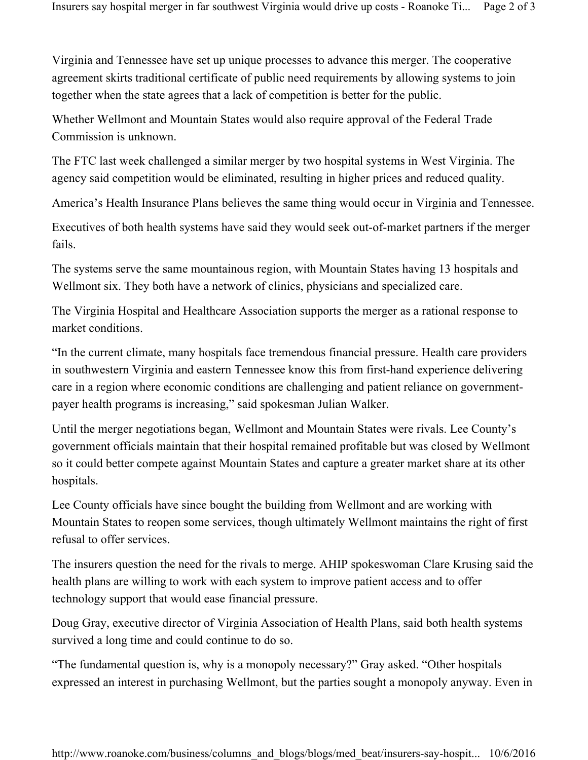Virginia and Tennessee have set up unique processes to advance this merger. The cooperative agreement skirts traditional certificate of public need requirements by allowing systems to join together when the state agrees that a lack of competition is better for the public.

Whether Wellmont and Mountain States would also require approval of the Federal Trade Commission is unknown.

The FTC last week challenged a similar merger by two hospital systems in West Virginia. The agency said competition would be eliminated, resulting in higher prices and reduced quality.

America's Health Insurance Plans believes the same thing would occur in Virginia and Tennessee.

Executives of both health systems have said they would seek out-of-market partners if the merger fails.

The systems serve the same mountainous region, with Mountain States having 13 hospitals and Wellmont six. They both have a network of clinics, physicians and specialized care.

The Virginia Hospital and Healthcare Association supports the merger as a rational response to market conditions.

"In the current climate, many hospitals face tremendous financial pressure. Health care providers in southwestern Virginia and eastern Tennessee know this from first-hand experience delivering care in a region where economic conditions are challenging and patient reliance on governmentpayer health programs is increasing," said spokesman Julian Walker.

Until the merger negotiations began, Wellmont and Mountain States were rivals. Lee County's government officials maintain that their hospital remained profitable but was closed by Wellmont so it could better compete against Mountain States and capture a greater market share at its other hospitals.

Lee County officials have since bought the building from Wellmont and are working with Mountain States to reopen some services, though ultimately Wellmont maintains the right of first refusal to offer services.

The insurers question the need for the rivals to merge. AHIP spokeswoman Clare Krusing said the health plans are willing to work with each system to improve patient access and to offer technology support that would ease financial pressure.

Doug Gray, executive director of Virginia Association of Health Plans, said both health systems survived a long time and could continue to do so.

"The fundamental question is, why is a monopoly necessary?" Gray asked. "Other hospitals expressed an interest in purchasing Wellmont, but the parties sought a monopoly anyway. Even in